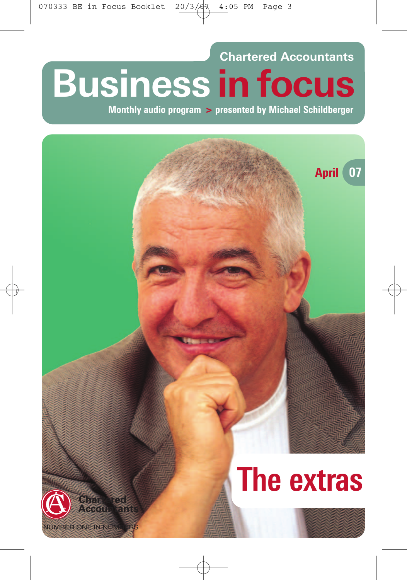# **Chartered Accountants Business in focus**

**Monthly audio program > presented by Michael Schildberger**

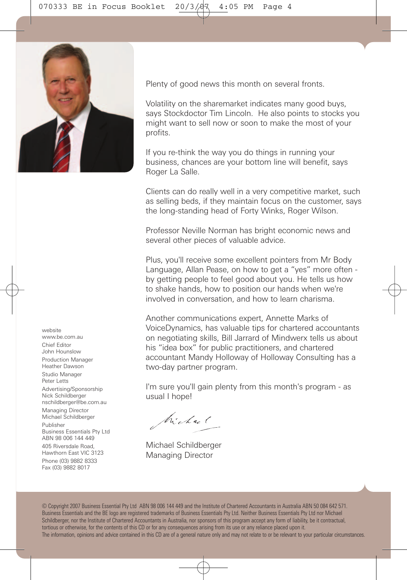

www.be.com.au Chief Editor John Hounslow Production Manager Heather Dawson Studio Manager Peter Letts Advertising/Sponsorship Nick Schildberger nschildberger@be.com.au Managing Director Michael Schildberger Publisher Business Essentials Pty Ltd ABN 98 006 144 449 405 Riversdale Road, Hawthorn East VIC 3123 Phone (03) 9882 8333 Fax (03) 9882 8017

website

Plenty of good news this month on several fronts.

Volatility on the sharemarket indicates many good buys, says Stockdoctor Tim Lincoln. He also points to stocks you might want to sell now or soon to make the most of your profits.

If you re-think the way you do things in running your business, chances are your bottom line will benefit, says Roger La Salle.

Clients can do really well in a very competitive market, such as selling beds, if they maintain focus on the customer, says the long-standing head of Forty Winks, Roger Wilson.

Professor Neville Norman has bright economic news and several other pieces of valuable advice.

Plus, you'll receive some excellent pointers from Mr Body Language, Allan Pease, on how to get a "yes" more often by getting people to feel good about you. He tells us how to shake hands, how to position our hands when we're involved in conversation, and how to learn charisma.

Another communications expert, Annette Marks of VoiceDynamics, has valuable tips for chartered accountants on negotiating skills, Bill Jarrard of Mindwerx tells us about his "idea box" for public practitioners, and chartered accountant Mandy Holloway of Holloway Consulting has a two-day partner program.

I'm sure you'll gain plenty from this month's program - as usual I hope!

Michael

Michael Schildberger Managing Director

© Copyright 2007 Business Essential Pty Ltd ABN 98 006 144 449 and the Institute of Chartered Accountants in Australia ABN 50 084 642 571. Business Essentials and the BE logo are registered trademarks of Business Essentials Pty Ltd. Neither Business Essentials Pty Ltd nor Michael Schildberger, nor the Institute of Chartered Accountants in Australia, nor sponsors of this program accept any form of liability, be it contractual, tortious or otherwise, for the contents of this CD or for any consequences arising from its use or any reliance placed upon it. The information, opinions and advice contained in this CD are of a general nature only and may not relate to or be relevant to your particular circumstances.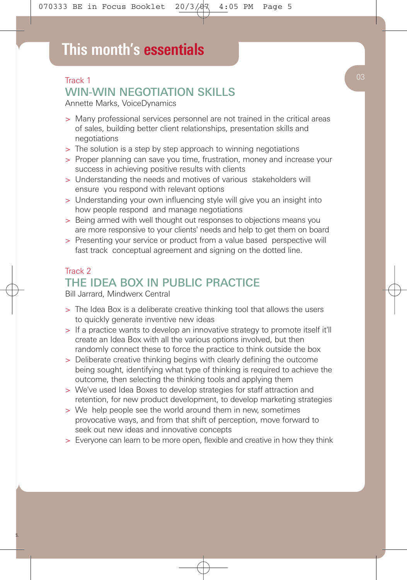## Track 1 WIN-WIN NEGOTIATION SKILLS

Annette Marks, VoiceDynamics

- > Many professional services personnel are not trained in the critical areas of sales, building better client relationships, presentation skills and negotiations
- > The solution is a step by step approach to winning negotiations
- > Proper planning can save you time, frustration, money and increase your success in achieving positive results with clients
- > Understanding the needs and motives of various stakeholders will ensure you respond with relevant options
- > Understanding your own influencing style will give you an insight into how people respond and manage negotiations
- > Being armed with well thought out responses to objections means you are more responsive to your clients' needs and help to get them on board
- > Presenting your service or product from a value based perspective will fast track conceptual agreement and signing on the dotted line.

## Track 2 THE IDEA BOX IN PUBLIC PRACTICE

Bill Jarrard, Mindwerx Central

- > The Idea Box is a deliberate creative thinking tool that allows the users to quickly generate inventive new ideas
- > If a practice wants to develop an innovative strategy to promote itself it'll create an Idea Box with all the various options involved, but then randomly connect these to force the practice to think outside the box
- > Deliberate creative thinking begins with clearly defining the outcome being sought, identifying what type of thinking is required to achieve the outcome, then selecting the thinking tools and applying them
- > We've used Idea Boxes to develop strategies for staff attraction and retention, for new product development, to develop marketing strategies
- > We help people see the world around them in new, sometimes provocative ways, and from that shift of perception, move forward to seek out new ideas and innovative concepts
- > Everyone can learn to be more open, flexible and creative in how they think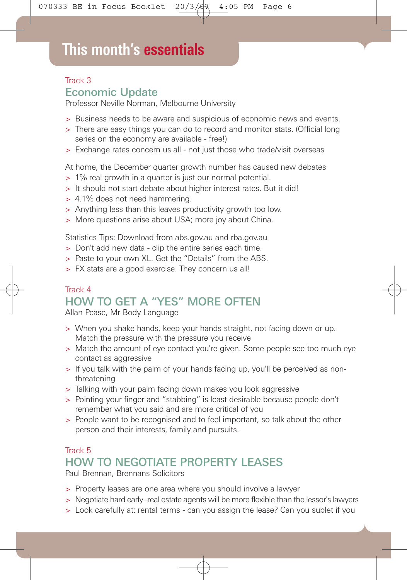## **This month's essentials**

#### Track 3

### Economic Update

Professor Neville Norman, Melbourne University

- > Business needs to be aware and suspicious of economic news and events.
- > There are easy things you can do to record and monitor stats. (Official long series on the economy are available - free!)
- > Exchange rates concern us all not just those who trade/visit overseas

At home, the December quarter growth number has caused new debates

- > 1% real growth in a quarter is just our normal potential.
- > It should not start debate about higher interest rates. But it did!
- > 4.1% does not need hammering.
- > Anything less than this leaves productivity growth too low.
- > More questions arise about USA; more joy about China.

Statistics Tips: Download from abs.gov.au and rba.gov.au

- > Don't add new data clip the entire series each time.
- > Paste to your own XL. Get the "Details" from the ABS.
- > FX stats are a good exercise. They concern us all!

### Track 4 HOW TO GET A "YES" MORE OFTEN

Allan Pease, Mr Body Language

- > When you shake hands, keep your hands straight, not facing down or up. Match the pressure with the pressure you receive
- > Match the amount of eye contact you're given. Some people see too much eye contact as aggressive
- > If you talk with the palm of your hands facing up, you'll be perceived as nonthreatening
- > Talking with your palm facing down makes you look aggressive
- > Pointing your finger and "stabbing" is least desirable because people don't remember what you said and are more critical of you
- > People want to be recognised and to feel important, so talk about the other person and their interests, family and pursuits.

## Track 5 HOW TO NEGOTIATE PROPERTY LEASES

Paul Brennan, Brennans Solicitors

- > Property leases are one area where you should involve a lawyer
- > Negotiate hard early -real estate agents will be more flexible than the lessor's lawyers
- > Look carefully at: rental terms can you assign the lease? Can you sublet if you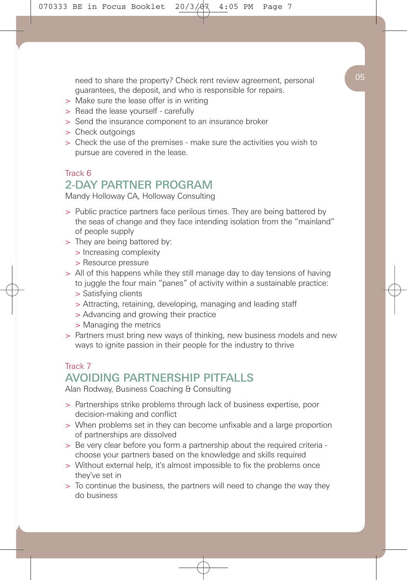need to share the property? Check rent review agreement, personal guarantees, the deposit, and who is responsible for repairs.

- > Make sure the lease offer is in writing
- > Read the lease yourself carefully
- > Send the insurance component to an insurance broker
- > Check outgoings
- > Check the use of the premises make sure the activities you wish to pursue are covered in the lease.

### Track 6 2-DAY PARTNER PROGRAM

Mandy Holloway CA, Holloway Consulting

- > Public practice partners face perilous times. They are being battered by the seas of change and they face intending isolation from the "mainland" of people supply
- > They are being battered by:
	- > Increasing complexity
	- > Resource pressure
- > All of this happens while they still manage day to day tensions of having to juggle the four main "panes" of activity within a sustainable practice:
	- > Satisfying clients
	- > Attracting, retaining, developing, managing and leading staff
	- > Advancing and growing their practice
	- > Managing the metrics
- > Partners must bring new ways of thinking, new business models and new ways to ignite passion in their people for the industry to thrive

### Track 7 AVOIDING PARTNERSHIP PITFALLS

Alan Rodway, Business Coaching & Consulting

- > Partnerships strike problems through lack of business expertise, poor decision-making and conflict
- > When problems set in they can become unfixable and a large proportion of partnerships are dissolved
- > Be very clear before you form a partnership about the required criteria choose your partners based on the knowledge and skills required
- > Without external help, it's almost impossible to fix the problems once they've set in
- > To continue the business, the partners will need to change the way they do business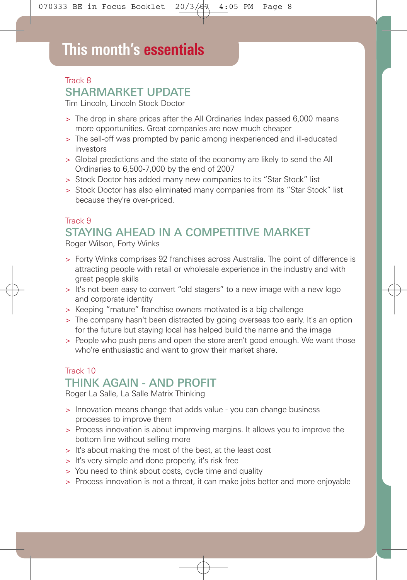## **This month's essentials**

## Track 8 SHARMARKET UPDATE

Tim Lincoln, Lincoln Stock Doctor

- > The drop in share prices after the All Ordinaries Index passed 6,000 means more opportunities. Great companies are now much cheaper
- > The sell-off was prompted by panic among inexperienced and ill-educated investors
- > Global predictions and the state of the economy are likely to send the All Ordinaries to 6,500-7,000 by the end of 2007
- > Stock Doctor has added many new companies to its "Star Stock" list
- > Stock Doctor has also eliminated many companies from its "Star Stock" list because they're over-priced.

## Track 9 STAYING AHEAD IN A COMPETITIVE MARKET

Roger Wilson, Forty Winks

- > Forty Winks comprises 92 franchises across Australia. The point of difference is attracting people with retail or wholesale experience in the industry and with great people skills
- > It's not been easy to convert "old stagers" to a new image with a new logo and corporate identity
- > Keeping "mature" franchise owners motivated is a big challenge
- > The company hasn't been distracted by going overseas too early. It's an option for the future but staying local has helped build the name and the image
- > People who push pens and open the store aren't good enough. We want those who're enthusiastic and want to grow their market share.

### Track 10 THINK AGAIN - AND PROFIT

Roger La Salle, La Salle Matrix Thinking

- > Innovation means change that adds value you can change business processes to improve them
- > Process innovation is about improving margins. It allows you to improve the bottom line without selling more
- > It's about making the most of the best, at the least cost
- > It's very simple and done properly, it's risk free
- > You need to think about costs, cycle time and quality
- > Process innovation is not a threat, it can make jobs better and more enjoyable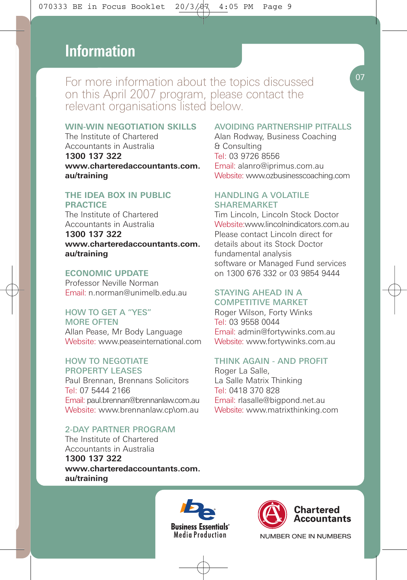## **This month's essentials Information**

For more information about the topics discussed on this April 2007 program, please contact the relevant organisations listed below.

#### **WIN-WIN NEGOTIATION SKILLS**

The Institute of Chartered Accountants in Australia **1300 137 322 www.charteredaccountants.com. au/training**

#### **THE IDEA BOX IN PUBLIC PRACTICE**

The Institute of Chartered Accountants in Australia **1300 137 322 www.charteredaccountants.com. au/training**

#### **ECONOMIC UPDATE**

Professor Neville Norman Email: n.norman@unimelb.edu.au

#### HOW TO GET A "YES"

MORE OFTEN Allan Pease, Mr Body Language Website: www.peaseinternational.com

#### HOW TO NEGOTIATE PROPERTY LEASES

Paul Brennan, Brennans Solicitors Tel: 07 5444 2166 Email: paul.brennan@brennanlaw.com.au Website: www.brennanlaw.cp\om.au

#### 2-DAY PARTNER PROGRAM

The Institute of Chartered Accountants in Australia **1300 137 322 www.charteredaccountants.com. au/training**

#### AVOIDING PARTNERSHIP PITFALLS

Alan Rodway, Business Coaching & Consulting Tel: 03 9726 8556 Email: alanro@iprimus.com.au Website: www.ozbusinesscoaching.com

#### HANDLING A VOLATILE SHAREMARKET

Tim Lincoln, Lincoln Stock Doctor Website:www.lincolnindicators.com.au Please contact Lincoln direct for details about its Stock Doctor fundamental analysis software or Managed Fund services on 1300 676 332 or 03 9854 9444

#### STAYING AHEAD IN A COMPETITIVE MARKET

Roger Wilson, Forty Winks Tel: 03 9558 0044 Email: admin@fortywinks.com.au Website: www.fortywinks.com.au

#### THINK AGAIN - AND PROFIT

Roger La Salle, La Salle Matrix Thinking Tel: 0418 370 828 Email: rlasalle@bigpond.net.au Website: www.matrixthinking.com





Chartered

NUMBER ONE IN NUMBERS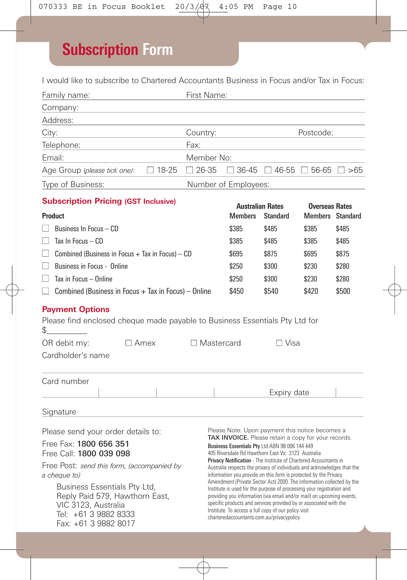## **Subscription Form**

I would like to subscribe to Chartered Accountants Business in Focus and/or Tax in Focus:

| Family name:                                                                                                                                                                                        |              | First Name:                                                                                                                                                                                                                                                                                                                                                                                                                                                                                                                                                                                                          |                                                                                                                                                                                                                |                                                   |                                                  |       |  |  |
|-----------------------------------------------------------------------------------------------------------------------------------------------------------------------------------------------------|--------------|----------------------------------------------------------------------------------------------------------------------------------------------------------------------------------------------------------------------------------------------------------------------------------------------------------------------------------------------------------------------------------------------------------------------------------------------------------------------------------------------------------------------------------------------------------------------------------------------------------------------|----------------------------------------------------------------------------------------------------------------------------------------------------------------------------------------------------------------|---------------------------------------------------|--------------------------------------------------|-------|--|--|
| Company:                                                                                                                                                                                            |              |                                                                                                                                                                                                                                                                                                                                                                                                                                                                                                                                                                                                                      |                                                                                                                                                                                                                |                                                   |                                                  |       |  |  |
| Address:                                                                                                                                                                                            |              |                                                                                                                                                                                                                                                                                                                                                                                                                                                                                                                                                                                                                      |                                                                                                                                                                                                                |                                                   |                                                  |       |  |  |
| City:<br>Country:                                                                                                                                                                                   |              |                                                                                                                                                                                                                                                                                                                                                                                                                                                                                                                                                                                                                      | Postcode:                                                                                                                                                                                                      |                                                   |                                                  |       |  |  |
| Telephone:                                                                                                                                                                                          | Fax:         |                                                                                                                                                                                                                                                                                                                                                                                                                                                                                                                                                                                                                      |                                                                                                                                                                                                                |                                                   |                                                  |       |  |  |
| Email:                                                                                                                                                                                              |              | Member No:                                                                                                                                                                                                                                                                                                                                                                                                                                                                                                                                                                                                           |                                                                                                                                                                                                                |                                                   |                                                  |       |  |  |
| $\Box$ 18-25<br>Age Group (please tick one):                                                                                                                                                        | $\Box$ 26-35 |                                                                                                                                                                                                                                                                                                                                                                                                                                                                                                                                                                                                                      |                                                                                                                                                                                                                | $\Box$ 36-45 $\Box$ 46-55 $\Box$ 56-65 $\Box$ >65 |                                                  |       |  |  |
| Type of Business:                                                                                                                                                                                   |              |                                                                                                                                                                                                                                                                                                                                                                                                                                                                                                                                                                                                                      | Number of Employees:                                                                                                                                                                                           |                                                   |                                                  |       |  |  |
| <b>Subscription Pricing (GST Inclusive)</b>                                                                                                                                                         |              |                                                                                                                                                                                                                                                                                                                                                                                                                                                                                                                                                                                                                      |                                                                                                                                                                                                                |                                                   |                                                  |       |  |  |
| Product                                                                                                                                                                                             |              |                                                                                                                                                                                                                                                                                                                                                                                                                                                                                                                                                                                                                      | <b>Australian Rates</b><br><b>Members</b>                                                                                                                                                                      | <b>Standard</b>                                   | <b>Overseas Rates</b><br><b>Members</b> Standard |       |  |  |
| Business In Focus - CD                                                                                                                                                                              |              |                                                                                                                                                                                                                                                                                                                                                                                                                                                                                                                                                                                                                      | \$385                                                                                                                                                                                                          | \$485                                             | \$385                                            | \$485 |  |  |
| Tax In Focus $-$ CD                                                                                                                                                                                 |              | \$385                                                                                                                                                                                                                                                                                                                                                                                                                                                                                                                                                                                                                | \$485                                                                                                                                                                                                          | \$385                                             | \$485                                            |       |  |  |
| Combined (Business in Focus $+$ Tax in Focus) $-$ CD                                                                                                                                                |              | \$695                                                                                                                                                                                                                                                                                                                                                                                                                                                                                                                                                                                                                | \$875                                                                                                                                                                                                          | \$695                                             | \$875                                            |       |  |  |
| Business in Focus - Online<br>$\Box$                                                                                                                                                                |              | \$250                                                                                                                                                                                                                                                                                                                                                                                                                                                                                                                                                                                                                | \$300                                                                                                                                                                                                          | \$230                                             | \$280                                            |       |  |  |
| Tax in Focus - Online<br>$\mathbf{L}$                                                                                                                                                               |              |                                                                                                                                                                                                                                                                                                                                                                                                                                                                                                                                                                                                                      | \$250                                                                                                                                                                                                          | \$300                                             | \$230                                            | \$280 |  |  |
| $\Box$ Combined (Business in Focus + Tax in Focus) - Online                                                                                                                                         |              |                                                                                                                                                                                                                                                                                                                                                                                                                                                                                                                                                                                                                      | \$450                                                                                                                                                                                                          | \$540                                             | \$420                                            | \$500 |  |  |
| <b>Payment Options</b><br>Please find enclosed cheque made payable to Business Essentials Pty Ltd for<br>\$<br>OR debit my:<br>$\Box$ Amex<br>Cardholder's name                                     |              | $\Box$ Mastercard                                                                                                                                                                                                                                                                                                                                                                                                                                                                                                                                                                                                    |                                                                                                                                                                                                                | $\Box$ Visa                                       |                                                  |       |  |  |
| Card number                                                                                                                                                                                         |              |                                                                                                                                                                                                                                                                                                                                                                                                                                                                                                                                                                                                                      |                                                                                                                                                                                                                |                                                   |                                                  |       |  |  |
|                                                                                                                                                                                                     |              |                                                                                                                                                                                                                                                                                                                                                                                                                                                                                                                                                                                                                      |                                                                                                                                                                                                                | Expiry date                                       |                                                  |       |  |  |
| Signature                                                                                                                                                                                           |              |                                                                                                                                                                                                                                                                                                                                                                                                                                                                                                                                                                                                                      |                                                                                                                                                                                                                |                                                   |                                                  |       |  |  |
| Please send your order details to:<br>Free Fax: 1800 656 351<br>Free Call: 1800 039 098                                                                                                             |              |                                                                                                                                                                                                                                                                                                                                                                                                                                                                                                                                                                                                                      | Please Note: Upon payment this notice becomes a<br>TAX INVOICE. Please retain a copy for your records.<br>Business Essentials Pty Ltd ABN 98 006 144 449<br>405 Riversdale Rd Hawthorn East Vic 3123 Australia |                                                   |                                                  |       |  |  |
| Free Post: send this form, (accompanied by<br>a cheque to)<br>Business Essentials Pty Ltd,<br>Reply Paid 579, Hawthorn East,<br>VIC 3123, Australia<br>Tel: +61 3 9882 8333<br>Fax: +61 3 9882 8017 |              | Privacy Notification - The Institute of Chartered Accountants in<br>Australia respects the privacy of individuals and acknowledges that the<br>information you provide on this form is protected by the Privacy<br>Amendment (Private Sector Act) 2000. The information collected by the<br>Institute is used for the purpose of processing your registration and<br>providing you information (via email and/or mail) on upcoming events,<br>specific products and services provided by or associated with the<br>Institute. To access a full copy of our policy visit<br>charteredaccountants.com.au/privacypolicy |                                                                                                                                                                                                                |                                                   |                                                  |       |  |  |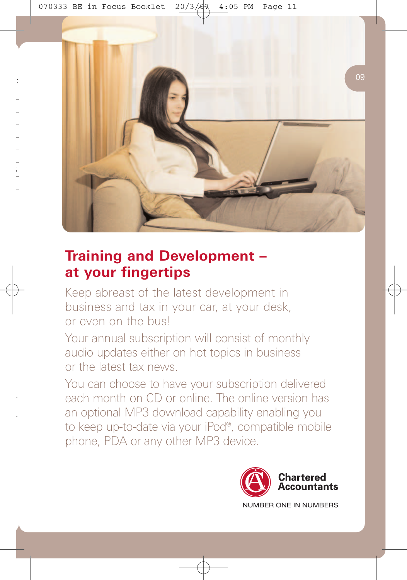

## **Training and Development – at your fingertips**

Keep abreast of the latest development in business and tax in your car, at your desk, or even on the bus!

Your annual subscription will consist of monthly audio updates either on hot topics in business or the latest tax news.

You can choose to have your subscription delivered each month on CD or online. The online version has an optional MP3 download capability enabling you to keep up-to-date via your iPod®, compatible mobile phone, PDA or any other MP3 device.



NUMBER ONE IN NUMBERS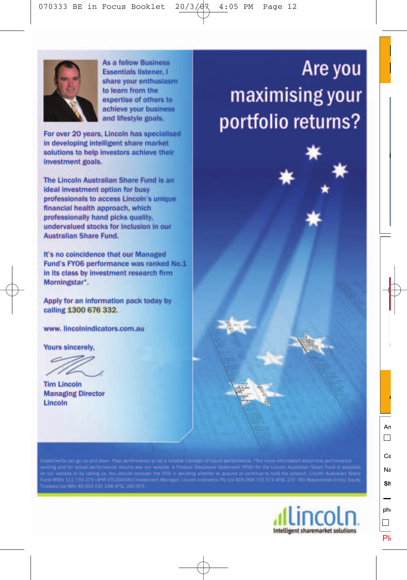

**As a fellow Business Essentials listener. I** share your enthusiasm to learn from the expertise of others to achieve your business and lifestyle goals.

For over 20 years, Lincoln has specialised in developing intelligent share market solutions to help investors achieve their investment goals.

The Lincoln Australian Share Fund is an **ideal investment option for busy** professionals to access Lincoln's unique financial health approach, which professionally hand picks quality. undervalued stocks for inclusion in our **Australian Share Fund.** 

It's no coincidence that our Managed Fund's FY06 performance was ranked No.1 in its class by investment research firm Morningstar\*.

Apply for an information pack today by calling 1300 676 332.

www.lincolnindicators.com.au

**Yours sincerely.** 

**Tim Lincoln Managing Director** Lincoln

Are you maximising your portfolio returns?

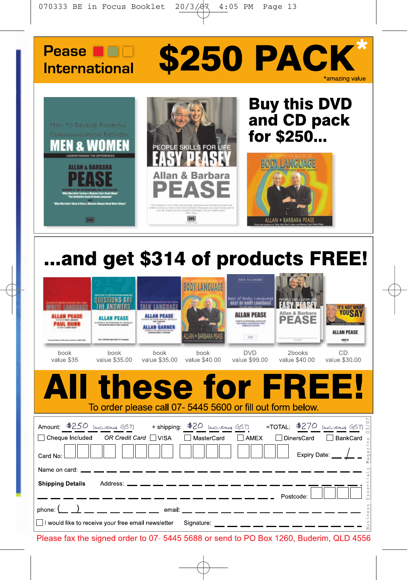



# ...and get \$314 of products FREE!

| book<br>value \$35                                                                                                                                                                        | ALLAN PEASE<br>21-AFREM-DF THE MTARAFRINA, ME 1-802700129<br>Said 1,000,000 Square Said & (P) program<br>book<br>value \$35,00 | <b>ALLAN PEASE</b><br><b>ALLAN GARNER</b><br>book<br>value \$35,00 | <b><i>RODY LANGUAGE</i></b><br>LAN + BARBARA PE<br>book<br>value \$40,00 | TET CLASSIC<br><b>Best of Body Language</b><br><b>IST OF BOOY LANDS</b><br><b><i><u>STATE and Win Milk File</u></i></b><br><b>1.000 C</b><br><b>DVD</b><br>value \$99,00                                                                                                                                                                                              | Allan & Barbara<br><b>PEASE</b><br>2books<br>value \$40,00 | <b>IT'S NOT WHAT</b><br><b>YOUSA</b><br><b>ALLAN PEASE</b><br>484 01<br>CD<br>value \$30,00      |
|-------------------------------------------------------------------------------------------------------------------------------------------------------------------------------------------|--------------------------------------------------------------------------------------------------------------------------------|--------------------------------------------------------------------|--------------------------------------------------------------------------|-----------------------------------------------------------------------------------------------------------------------------------------------------------------------------------------------------------------------------------------------------------------------------------------------------------------------------------------------------------------------|------------------------------------------------------------|--------------------------------------------------------------------------------------------------|
| AII                                                                                                                                                                                       |                                                                                                                                |                                                                    |                                                                          | <b>these for FREE!</b><br>To order please call 07-5445 5600 or fill out form below.                                                                                                                                                                                                                                                                                   |                                                            |                                                                                                  |
| Аmount: <u>\$250 (модивіча GST)</u> + shipping: <u>\$20 (модивіча GST)</u> = TOTAL: <u>\$270 (модивіча GST) s</u><br>□ Cheque Included OR Credit Card □ VISA<br>Card No:<br>Name on card: |                                                                                                                                |                                                                    | $\Box$ MasterCard                                                        | $\Box$ AMEX                                                                                                                                                                                                                                                                                                                                                           | □ DinersCard                                               | BankCard o<br>agai<br>Expiry Date:                                                               |
| <b>Shipping Details</b><br>I would like to receive your free email newsletter                                                                                                             |                                                                                                                                |                                                                    | Address: ___ __ __ __ __ __ __ __ __ __                                  | $\frac{1}{1}$ $\frac{1}{1}$ $\frac{1}{1}$ $\frac{1}{1}$ $\frac{1}{1}$ $\frac{1}{1}$ $\frac{1}{1}$ $\frac{1}{1}$ $\frac{1}{1}$ $\frac{1}{1}$ $\frac{1}{1}$ $\frac{1}{1}$ $\frac{1}{1}$ $\frac{1}{1}$ $\frac{1}{1}$ $\frac{1}{1}$ $\frac{1}{1}$ $\frac{1}{1}$ $\frac{1}{1}$ $\frac{1}{1}$ $\frac{1}{1}$ $\frac{1}{1}$<br>Signature: __ __ __ __ __ __ __ __ __ __ __ __ |                                                            | $\frac{5}{3}$<br>$\omega$<br>$\langle f \rangle$<br>$\stackrel{\oplus}{\scriptstyle{\sqsubset}}$ |

Please fax the signed order to 07-5445 5688 or send to PO Box 1260, Buderim, QLD 4556